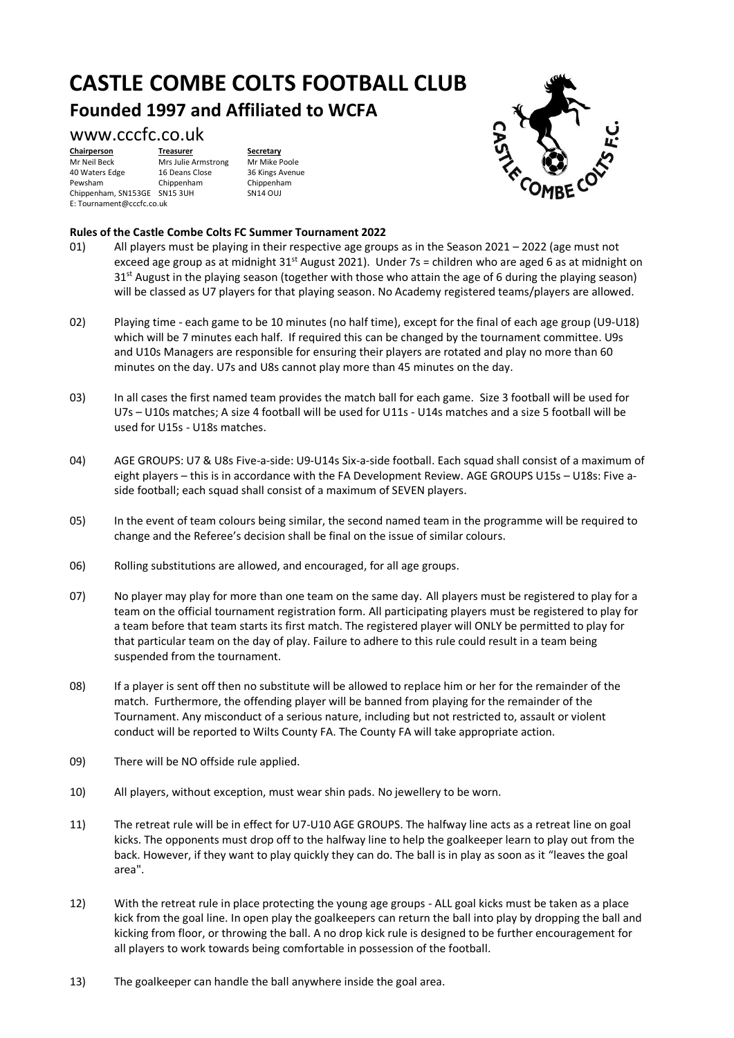## **CASTLE COMBE COLTS FOOTBALL CLUB Founded 1997 and Affiliated to WCFA**

### www.cccfc.co.uk

**Chairperson Treasurer Secretary**<br>
Mr Neil Beck Mrs Julie Armstrong Mr Mike Poole Mr Neil Beck Mrs Julie Armstrong<br>40 Waters Edge 16 Deans Close 40 Waters Edge 16 Deans Close 36 Kings Avenue<br>Pewsham Chippenham Chippenham Chippenham, SN153GE SN15 3UH E: Tournament@cccfc.co.uk

Chippenham Chippenham<br>
SN15 3UH SN14 OLU



#### **Rules of the Castle Combe Colts FC Summer Tournament 2022**

- 01) All players must be playing in their respective age groups as in the Season 2021 2022 (age must not exceed age group as at midnight  $31<sup>st</sup>$  August 2021). Under 7s = children who are aged 6 as at midnight on 31<sup>st</sup> August in the playing season (together with those who attain the age of 6 during the playing season) will be classed as U7 players for that playing season. No Academy registered teams/players are allowed.
- 02) Playing time each game to be 10 minutes (no half time), except for the final of each age group (U9-U18) which will be 7 minutes each half. If required this can be changed by the tournament committee. U9s and U10s Managers are responsible for ensuring their players are rotated and play no more than 60 minutes on the day. U7s and U8s cannot play more than 45 minutes on the day.
- 03) In all cases the first named team provides the match ball for each game. Size 3 football will be used for U7s – U10s matches; A size 4 football will be used for U11s - U14s matches and a size 5 football will be used for U15s - U18s matches.
- 04) AGE GROUPS: U7 & U8s Five-a-side: U9-U14s Six-a-side football. Each squad shall consist of a maximum of eight players – this is in accordance with the FA Development Review. AGE GROUPS U15s – U18s: Five aside football; each squad shall consist of a maximum of SEVEN players.
- 05) In the event of team colours being similar, the second named team in the programme will be required to change and the Referee's decision shall be final on the issue of similar colours.
- 06) Rolling substitutions are allowed, and encouraged, for all age groups.
- 07) No player may play for more than one team on the same day. All players must be registered to play for a team on the official tournament registration form. All participating players must be registered to play for a team before that team starts its first match. The registered player will ONLY be permitted to play for that particular team on the day of play. Failure to adhere to this rule could result in a team being suspended from the tournament.
- 08) If a player is sent off then no substitute will be allowed to replace him or her for the remainder of the match. Furthermore, the offending player will be banned from playing for the remainder of the Tournament. Any misconduct of a serious nature, including but not restricted to, assault or violent conduct will be reported to Wilts County FA. The County FA will take appropriate action.
- 09) There will be NO offside rule applied.
- 10) All players, without exception, must wear shin pads. No jewellery to be worn.
- 11) The retreat rule will be in effect for U7-U10 AGE GROUPS. The halfway line acts as a retreat line on goal kicks. The opponents must drop off to the halfway line to help the goalkeeper learn to play out from the back. However, if they want to play quickly they can do. The ball is in play as soon as it "leaves the goal area".
- 12) With the retreat rule in place protecting the young age groups ALL goal kicks must be taken as a place kick from the goal line. In open play the goalkeepers can return the ball into play by dropping the ball and kicking from floor, or throwing the ball. A no drop kick rule is designed to be further encouragement for all players to work towards being comfortable in possession of the football.
- 13) The goalkeeper can handle the ball anywhere inside the goal area.